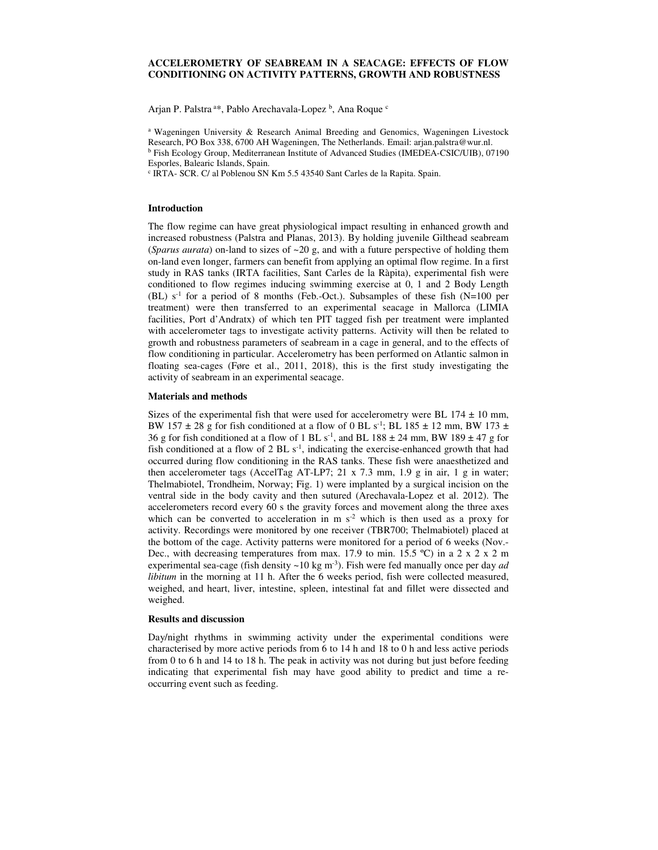# **ACCELEROMETRY OF SEABREAM IN A SEACAGE: EFFECTS OF FLOW CONDITIONING ON ACTIVITY PATTERNS, GROWTH AND ROBUSTNESS**

Arjan P. Palstra<sup>a\*</sup>, Pablo Arechavala-Lopez<sup>b</sup>, Ana Roque <sup>c</sup>

<sup>a</sup> Wageningen University & Research Animal Breeding and Genomics, Wageningen Livestock Research, PO Box 338, 6700 AH Wageningen, The Netherlands. Email: arjan.palstra@wur.nl. <sup>b</sup> Fish Ecology Group, Mediterranean Institute of Advanced Studies (IMEDEA-CSIC/UIB), 07190 Esporles, Balearic Islands, Spain.

c IRTA- SCR. C/ al Poblenou SN Km 5.5 43540 Sant Carles de la Rapita. Spain.

### **Introduction**

The flow regime can have great physiological impact resulting in enhanced growth and increased robustness (Palstra and Planas, 2013). By holding juvenile Gilthead seabream (*Sparus aurata*) on-land to sizes of  $\sim$  20 g, and with a future perspective of holding them on-land even longer, farmers can benefit from applying an optimal flow regime. In a first study in RAS tanks (IRTA facilities, Sant Carles de la Ràpita), experimental fish were conditioned to flow regimes inducing swimming exercise at 0, 1 and 2 Body Length (BL)  $s<sup>-1</sup>$  for a period of 8 months (Feb.-Oct.). Subsamples of these fish (N=100 per treatment) were then transferred to an experimental seacage in Mallorca (LIMIA facilities, Port d'Andratx) of which ten PIT tagged fish per treatment were implanted with accelerometer tags to investigate activity patterns. Activity will then be related to growth and robustness parameters of seabream in a cage in general, and to the effects of flow conditioning in particular. Accelerometry has been performed on Atlantic salmon in floating sea-cages (Føre et al., 2011, 2018), this is the first study investigating the activity of seabream in an experimental seacage.

#### **Materials and methods**

Sizes of the experimental fish that were used for accelerometry were BL  $174 \pm 10$  mm, BW 157  $\pm$  28 g for fish conditioned at a flow of 0 BL s<sup>-1</sup>; BL 185  $\pm$  12 mm, BW 173  $\pm$ 36 g for fish conditioned at a flow of 1 BL  $s^{-1}$ , and BL 188  $\pm$  24 mm, BW 189  $\pm$  47 g for fish conditioned at a flow of  $2$  BL  $s<sup>-1</sup>$ , indicating the exercise-enhanced growth that had occurred during flow conditioning in the RAS tanks. These fish were anaesthetized and then accelerometer tags (AccelTag AT-LP7; 21 x 7.3 mm, 1.9 g in air, 1 g in water; Thelmabiotel, Trondheim, Norway; Fig. 1) were implanted by a surgical incision on the ventral side in the body cavity and then sutured (Arechavala-Lopez et al. 2012). The accelerometers record every 60 s the gravity forces and movement along the three axes which can be converted to acceleration in  $m s<sup>2</sup>$  which is then used as a proxy for activity. Recordings were monitored by one receiver (TBR700; Thelmabiotel) placed at the bottom of the cage. Activity patterns were monitored for a period of 6 weeks (Nov.- Dec., with decreasing temperatures from max. 17.9 to min. 15.5 °C) in a 2 x 2 x 2 m experimental sea-cage (fish density ~10 kg m-3). Fish were fed manually once per day *ad libitum* in the morning at 11 h. After the 6 weeks period, fish were collected measured, weighed, and heart, liver, intestine, spleen, intestinal fat and fillet were dissected and weighed.

# **Results and discussion**

Day/night rhythms in swimming activity under the experimental conditions were characterised by more active periods from 6 to 14 h and 18 to 0 h and less active periods from 0 to 6 h and 14 to 18 h. The peak in activity was not during but just before feeding indicating that experimental fish may have good ability to predict and time a reoccurring event such as feeding.